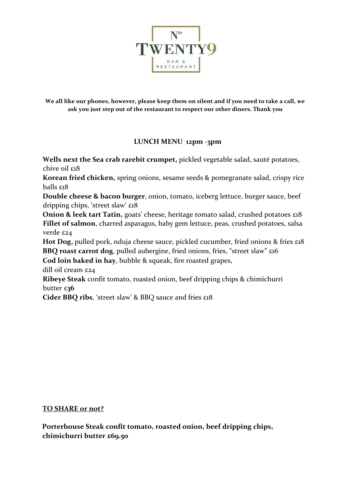

**We all like our phones, however, please keep them on silent and if you need to take a call, we ask you just step out of the restaurant to respect our other diners. Thank you** 

## **LUNCH MENU 12pm -3pm**

**Wells next the Sea crab rarebit crumpet,** pickled vegetable salad, sauté potatoes, chive oil £18

**Korean fried chicken,** spring onions, sesame seeds & pomegranate salad, crispy rice balls £18

**Double cheese & bacon burger**, onion, tomato, iceberg lettuce, burger sauce, beef dripping chips, 'street slaw' £18

**Onion & leek tart Tatin,** goats' cheese, heritage tomato salad, crushed potatoes £18 **Fillet of salmon**, charred asparagus, baby gem lettuce, peas, crushed potatoes, salsa verde £24

Hot Dog, pulled pork, nduja cheese sauce, pickled cucumber, fried onions & fries £18 **BBQ roast carrot dog**, pulled aubergine, fried onions, fries, "street slaw" £16 **Cod loin baked in hay**, bubble & squeak, fire roasted grapes,

dill oil cream £24

**Ribeye Steak** confit tomato, roasted onion, beef dripping chips & chimichurri butter £**36** 

**Cider BBQ ribs**, 'street slaw' & BBQ sauce and fries £18

## **TO SHARE or not?**

**Porterhouse Steak confit tomato, roasted onion, beef dripping chips, chimichurri butter £69.50**